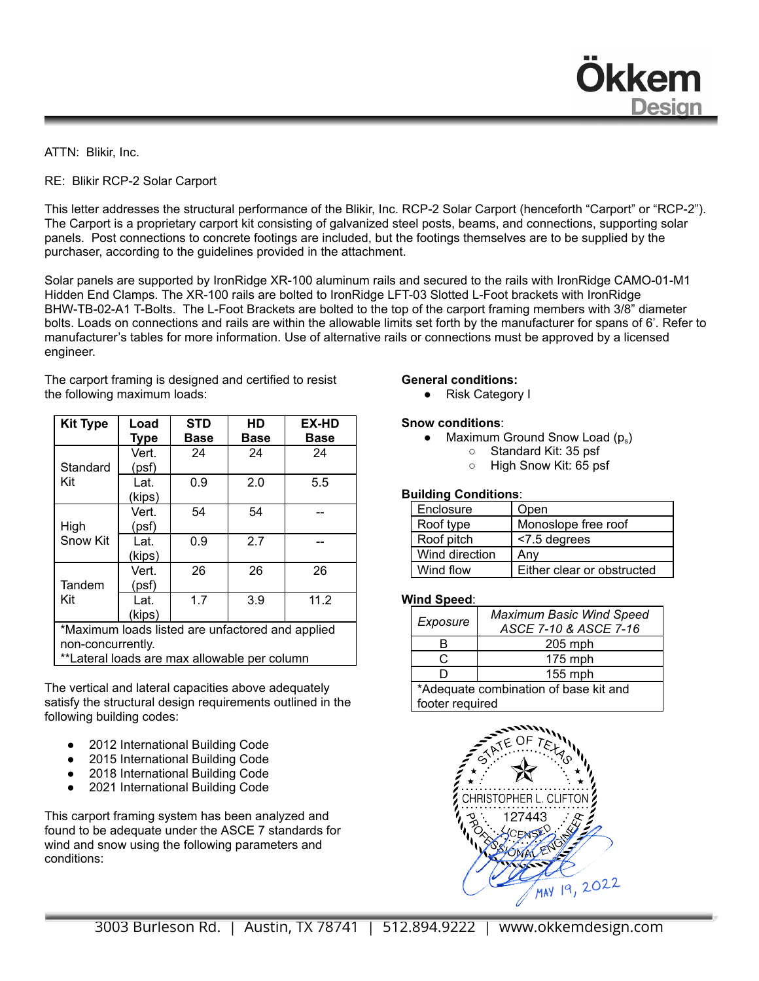ATTN: Blikir, Inc.

RE: Blikir RCP-2 Solar Carport

This letter addresses the structural performance of the Blikir, Inc. RCP-2 Solar Carport (henceforth "Carport" or "RCP-2"). The Carport is a proprietary carport kit consisting of galvanized steel posts, beams, and connections, supporting solar panels. Post connections to concrete footings are included, but the footings themselves are to be supplied by the purchaser, according to the guidelines provided in the attachment.

Solar panels are supported by IronRidge XR-100 aluminum rails and secured to the rails with IronRidge CAMO-01-M1 Hidden End Clamps. The XR-100 rails are bolted to IronRidge LFT-03 Slotted L-Foot brackets with IronRidge BHW-TB-02-A1 T-Bolts. The L-Foot Brackets are bolted to the top of the carport framing members with 3/8" diameter bolts. Loads on connections and rails are within the allowable limits set forth by the manufacturer for spans of 6'. Refer to manufacturer's tables for more information. Use of alternative rails or connections must be approved by a licensed engineer.

The carport framing is designed and certified to resist the following maximum loads:

| <b>Kit Type</b>                                                                                                       | Load<br><b>Type</b> | <b>STD</b><br><b>Base</b> | HD<br><b>Base</b> | <b>EX-HD</b><br><b>Base</b> |
|-----------------------------------------------------------------------------------------------------------------------|---------------------|---------------------------|-------------------|-----------------------------|
| Standard<br>Kit                                                                                                       | Vert.<br>(psf)      | 24                        | 24                | 24                          |
|                                                                                                                       | Lat.<br>(kips)      | 0.9                       | 2.0               | 5.5                         |
| High<br>Snow Kit                                                                                                      | Vert.<br>(psf)      | 54                        | 54                |                             |
|                                                                                                                       | Lat.<br>(kips)      | 0.9                       | 2.7               |                             |
| Tandem<br>Kit                                                                                                         | Vert.<br>(psf)      | 26                        | 26                | 26                          |
|                                                                                                                       | Lat.<br>(kips)      | 1.7                       | 3.9               | 11.2                        |
| *Maximum loads listed are unfactored and applied<br>non-concurrently.<br>**Lateral loads are max allowable per column |                     |                           |                   |                             |

The vertical and lateral capacities above adequately satisfy the structural design requirements outlined in the following building codes:

- 2012 International Building Code
- 2015 International Building Code
- 2018 International Building Code
- 2021 International Building Code

This carport framing system has been analyzed and found to be adequate under the ASCE 7 standards for wind and snow using the following parameters and conditions:

## **General conditions:**

● Risk Category I

## **Snow conditions**:

- Maximum Ground Snow Load  $(p_s)$ 
	- Standard Kit: 35 psf
	- High Snow Kit: 65 psf

**Dkkem** 

**Desian** 

## **Building Conditions**:

| Enclosure      | Open                       |  |  |
|----------------|----------------------------|--|--|
| Roof type      | Monoslope free roof        |  |  |
| Roof pitch     | <7.5 degrees               |  |  |
| Wind direction | Anv                        |  |  |
| Wind flow      | Either clear or obstructed |  |  |

## **Wind Speed**:

| Exposure                              | <b>Maximum Basic Wind Speed</b><br>ASCE 7-10 & ASCE 7-16 |  |  |
|---------------------------------------|----------------------------------------------------------|--|--|
| R                                     | $205$ mph                                                |  |  |
| r.                                    | 175 mph                                                  |  |  |
| n                                     | 155 mph                                                  |  |  |
| *Adequate combination of base kit and |                                                          |  |  |
| footer required                       |                                                          |  |  |

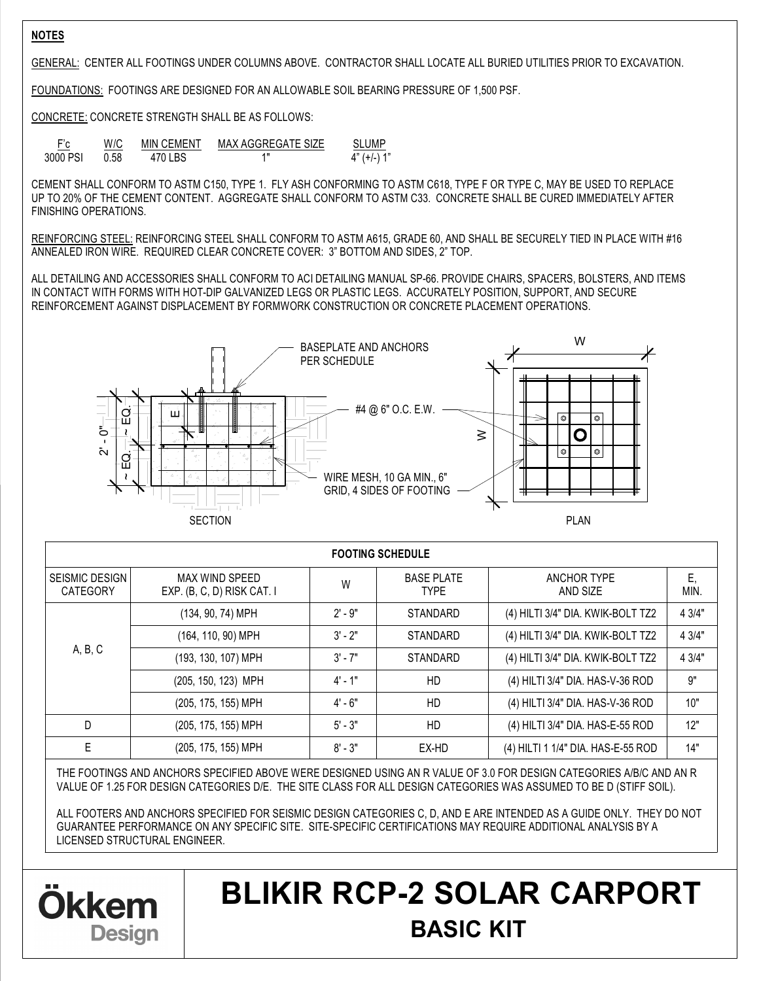